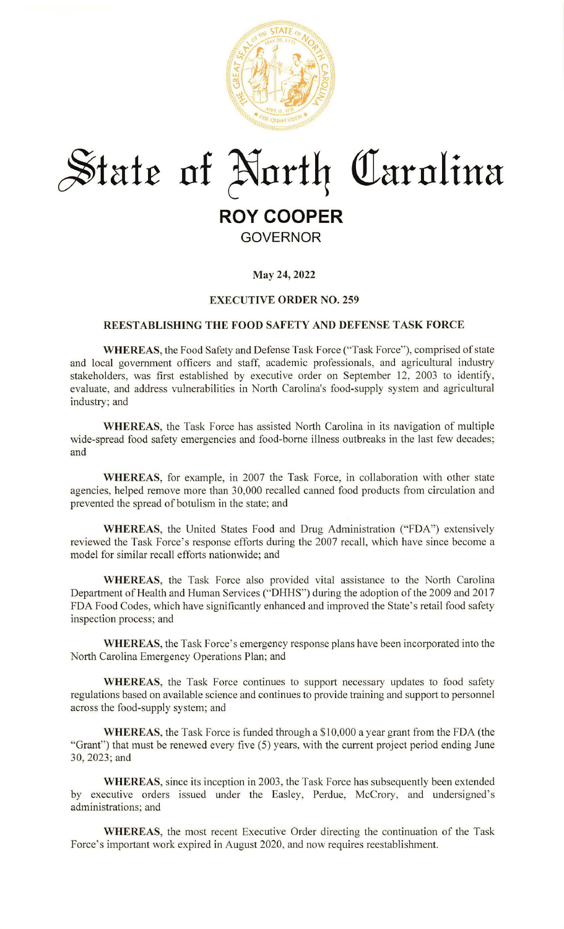

# **~fair of ~nr±4 Olarnlina ROY COOPER**

# **GOVERNOR**

## **May 24, 2022**

## **EXECUTIVE ORDER NO. 259**

#### **REESTABLISHING THE FOOD SAFETY AND DEFENSE TASK FORCE**

**WHEREAS,** the Food Safety and Defense Task Force ("Task Force"), comprised of state and local government officers and staff, academic professionals, and agricultural industry stakeholders, was first established by executive order on September 12, 2003 to identify, evaluate, and address vulnerabilities in North Carolina's food-supply system and agricultural industry; and

**WHEREAS,** the Task Force has assisted North Carolina in its navigation of multiple wide-spread food safety emergencies and food-borne illness outbreaks in the last few decades; and

**WHEREAS,** for example, in 2007 the Task Force, in collaboration with other state agencies, helped remove more than 30,000 recalled canned food products from circulation and prevented the spread of botulism in the state; and

**WHEREAS,** the United States Food and Drug Administration ("FDA") extensively reviewed the Task Force's response efforts during the 2007 recall, which have since become a model for similar recall efforts nationwide; and

WHEREAS, the Task Force also provided vital assistance to the North Carolina Department of Health and Human Services ("DHHS") during the adoption of the 2009 and 2017 FDA Food Codes, which have significantly enhanced and improved the State's retail food safety inspection process; and

**WHEREAS,** the Task Force's emergency response plans have been incorporated into the North Carolina Emergency Operations Plan; and

**WHEREAS,** the Task Force continues to support necessary updates to food safety regulations based on available science and continues to provide training and support to personnel across the food-supply system; and

WHEREAS, the Task Force is funded through a \$10,000 a year grant from the FDA (the "Grant") that must be renewed every five (5) years, with the current project period ending June 30,2023; and

**WHEREAS,** since its inception in 2003, the Task Force has subsequently been extended by executive orders issued under the Easley, Perdue, McCrory, and undersigned's administrations; and

**WHEREAS,** the most recent Executive Order directing the continuation of the Task Force's important work expired in August 2020, and now requires reestablishment.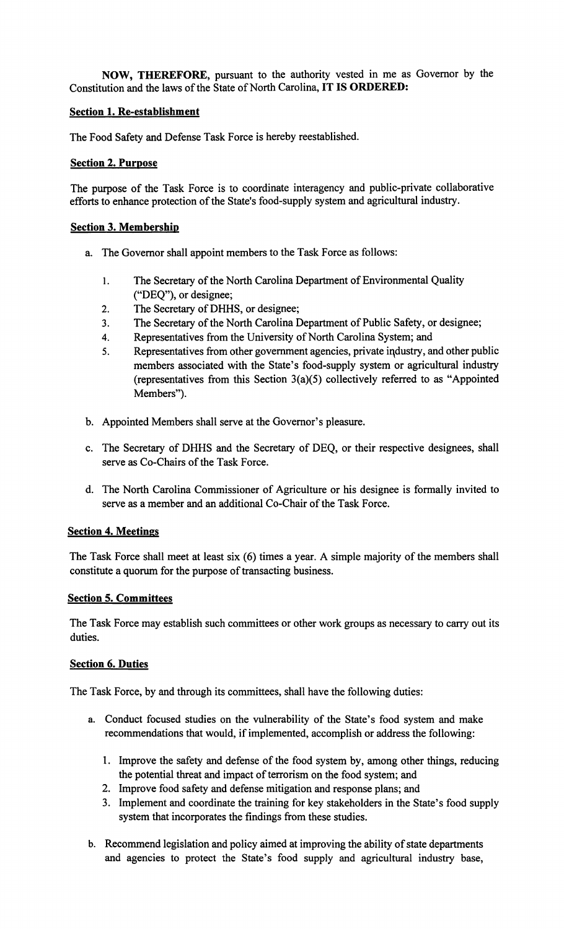**NOW, THEREFORE,** pursuant to the authority vested in me as Governor by the Constitution and the laws of the State of North Carolina, **IT IS ORDERED:** 

#### **Section 1. Re-establishment**

The Food Safety and Defense Task Force is hereby reestablished.

#### **Section 2. Purpose**

The purpose of the Task Force is to coordinate interagency and public-private collaborative efforts to enhance protection of the State's food-supply system and agricultural industry.

#### **Section 3. Membership**

- a. The Governor shall appoint members to the Task Force as follows:
	- I. The Secretary of the North Carolina Department of Environmental Quality ("DEQ"), or designee;
	- 2. The Secretary of DHHS, or designee;
	- 3. The Secretary of the North Carolina Department of Public Safety, or designee;
	- 4. Representatives from the University of North Carolina System; and
	- 5. Representatives from other government agencies, private industry, and other public members associated with the State's food-supply system or agricultural industry (representatives from this Section 3(a)(5) collectively referred to as "Appointed Members").
- b. Appointed Members shall serve at the Governor's pleasure.
- c. The Secretary of DHHS and the Secretary of DEQ, or their respective designees, shall serve as Co-Chairs of the Task Force.
- d. The North Carolina Commissioner of Agriculture or his designee is formally invited to serve as a member and an additional Co-Chair of the Task Force.

## **Section 4. Meetings**

The Task Force shall meet at least six (6) times a year. A simple majority of the members shall constitute a quorum for the purpose of transacting business.

#### **Section 5. Committees**

The Task Force may establish such committees or other work groups as necessary to carry out its duties.

## **Section 6. Duties**

The Task Force, by and through its committees, shall have the following duties:

- a. Conduct focused studies on the vulnerability of the State's food system and make recommendations that would, if implemented, accomplish or address the following:
	- 1. Improve the safety and defense of the food system by, among other things, reducing the potential threat and impact of terrorism on the food system; and
	- 2. Improve food safety and defense mitigation and response plans; and
	- 3. Implement and coordinate the training for key stakeholders in the State's food supply system that incorporates the findings from these studies.
- b. Recommend legislation and policy aimed at improving the ability of state departments and agencies to protect the State's food supply and agricultural industry base,